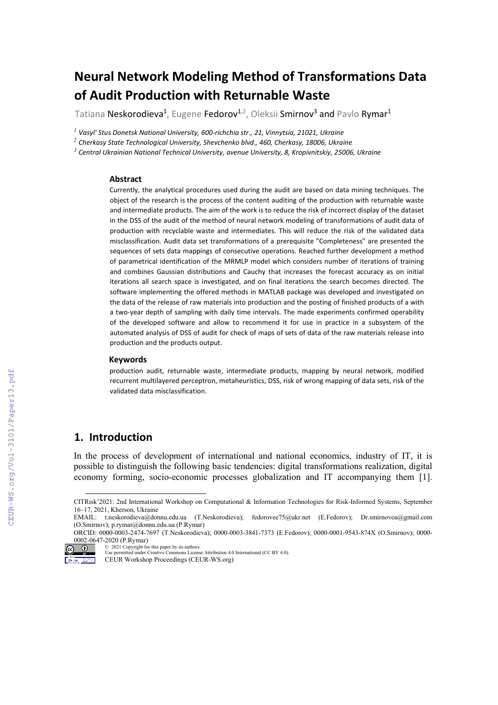# **Neural Network Modeling Method of Transformations Data of Audit Production with Returnable Waste**

Tatiana Neskorodieva<sup>1</sup>, Eugene Fedorov<sup>1,2</sup>, Oleksii Smirnov<sup>3</sup> and Pavlo Rymar<sup>1</sup>

*<sup>1</sup> Vasyl' Stus Donetsk National University, 600-richchia str., 21, Vinnytsia, 21021, Ukraine*

*<sup>2</sup> Cherkasy State Technological University, Shevchenko blvd., 460, Cherkasy, 18006, Ukraine*

*<sup>3</sup> Central Ukrainian National Technical University, avenue University, 8, Kropivnitskiy, 25006, Ukraine*

#### **Abstract**

Currently, the analytical procedures used during the audit are based on data mining techniques. The object of the research is the process of the content auditing of the production with returnable waste and intermediate products. The aim of the work is to reduce the risk of incorrect display of the dataset in the DSS of the audit of the method of neural network modeling of transformations of audit data of production with recyclable waste and intermediates. This will reduce the risk of the validated data misclassification. Audit data set transformations of a prerequisite "Completeness" are presented the sequences of sets data mappings of consecutive operations. Reached further development a method of parametrical identification of the MRMLP model which considers number of iterations of training and combines Gaussian distributions and Cauchy that increases the forecast accuracy as on initial iterations all search space is investigated, and on final iterations the search becomes directed. The software implementing the offered methods in MATLAB package was developed and investigated on the data of the release of raw materials into production and the posting of finished products of a with a two-year depth of sampling with daily time intervals. The made experiments confirmed operability of the developed software and allow to recommend it for use in practice in a subsystem of the automated analysis of DSS of audit for check of maps of sets of data of the raw materials release into production and the products output.

#### **Keywords**

production audit, returnable waste, intermediate products, mapping by neural network, modified recurrent multilayered perceptron, metaheuristics, DSS, risk of wrong mapping of data sets, risk of the validated data misclassification.

### **1. Introduction**

In the process of development of international and national economics, industry of IT, it is possible to distinguish the following basic tendencies: digital transformations realization, digital economy forming, socio-economic processes globalization and IT accompanying them [1].

CITRisk'2021: 2nd International Workshop on Computational & Information Technologies for Risk-Informed Systems, September 16–17, 2021, Kherson, Ukraine

<span id="page-0-0"></span>EMAIL: t.neskorodieva@donnu.edu.ua (T.Neskorodieva); fedorovee75@ukr.net (E.Fedorov); [Dr.smirnovoa@gmail.com](mailto:Dr.smirnovoa@gmail.com) (O.Smirnov); [p.rymar@donnu.edu.ua](mailto:p.rymar@donnu.edu.ua) (P.Rymar) ORCID: 0000-0003-2474-7697 (T.Neskorodieva); 0000-0003-3841-7373 (E.Fedorov); 0000-0001-9543-874X (O.Smirnov); 0000-

 $0002 - 0647 - 2020$  (P.Rymar)

<sup>©</sup> 2021 Copyright for this paper by its authors. Use permitted under Creative Commons License Attribution 4.0 International (CC BY 4.0).

CEUR Workshop Proceedings (CEUR-WS.org)  $\frac{996}{200} \frac{656}{200} = \frac{1566}{600} \frac{1}{100}$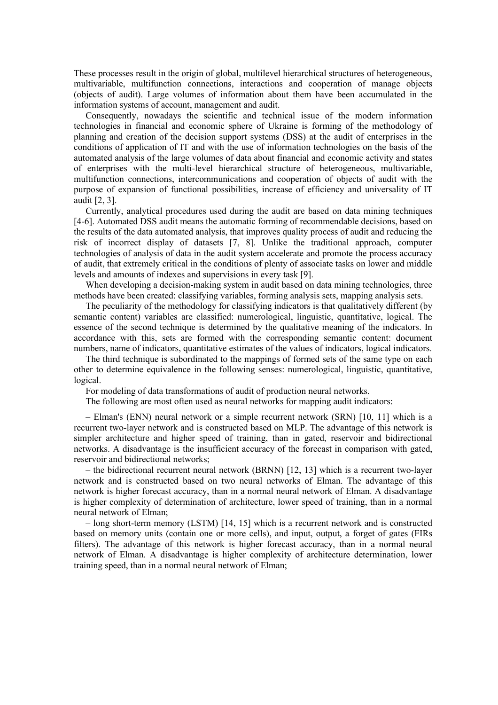These processes result in the origin of global, multilevel hierarchical structures of heterogeneous, multivariable, multifunction connections, interactions and cooperation of manage objects (objects of audit). Large volumes of information about them have been accumulated in the information systems of account, management and audit.

Consequently, nowadays the scientific and technical issue of the modern information technologies in financial and economic sphere of Ukraine is forming of the methodology of planning and creation of the decision support systems (DSS) at the audit of enterprises in the conditions of application of IT and with the use of information technologies on the basis of the automated analysis of the large volumes of data about financial and economic activity and states of enterprises with the multi-level hierarchical structure of heterogeneous, multivariable, multifunction connections, intercommunications and cooperation of objects of audit with the purpose of expansion of functional possibilities, increase of efficiency and universality of IT audit [2, 3].

Currently, analytical procedures used during the audit are based on data mining techniques [4-6]. Automated DSS audit means the automatic forming of recommendable decisions, based on the results of the data automated analysis, that improves quality process of audit and reducing the risk of incorrect display of datasets [7, 8]. Unlike the traditional approach, computer technologies of analysis of data in the audit system accelerate and promote the process accuracy of audit, that extremely critical in the conditions of plenty of associate tasks on lower and middle levels and amounts of indexes and supervisions in every task [9].

When developing a decision-making system in audit based on data mining technologies, three methods have been created: classifying variables, forming analysis sets, mapping analysis sets.

The peculiarity of the methodology for classifying indicators is that qualitatively different (by semantic content) variables are classified: numerological, linguistic, quantitative, logical. The essence of the second technique is determined by the qualitative meaning of the indicators. In accordance with this, sets are formed with the corresponding semantic content: document numbers, name of indicators, quantitative estimates of the values of indicators, logical indicators.

The third technique is subordinated to the mappings of formed sets of the same type on each other to determine equivalence in the following senses: numerological, linguistic, quantitative, logical.

For modeling of data transformations of audit of production neural networks.

The following are most often used as neural networks for mapping audit indicators:

– Elman's (ENN) neural network or a simple recurrent network (SRN) [10, 11] which is a recurrent two-layer network and is constructed based on MLP. The advantage of this network is simpler architecture and higher speed of training, than in gated, reservoir and bidirectional networks. A disadvantage is the insufficient accuracy of the forecast in comparison with gated, reservoir and bidirectional networks;

– the bidirectional recurrent neural network (BRNN) [12, 13] which is a recurrent two-layer network and is constructed based on two neural networks of Elman. The advantage of this network is higher forecast accuracy, than in a normal neural network of Elman. A disadvantage is higher complexity of determination of architecture, lower speed of training, than in a normal neural network of Elman;

– long short-term memory (LSTM) [14, 15] which is a recurrent network and is constructed based on memory units (contain one or more cells), and input, output, a forget of gates (FIRs filters). The advantage of this network is higher forecast accuracy, than in a normal neural network of Elman. A disadvantage is higher complexity of architecture determination, lower training speed, than in a normal neural network of Elman;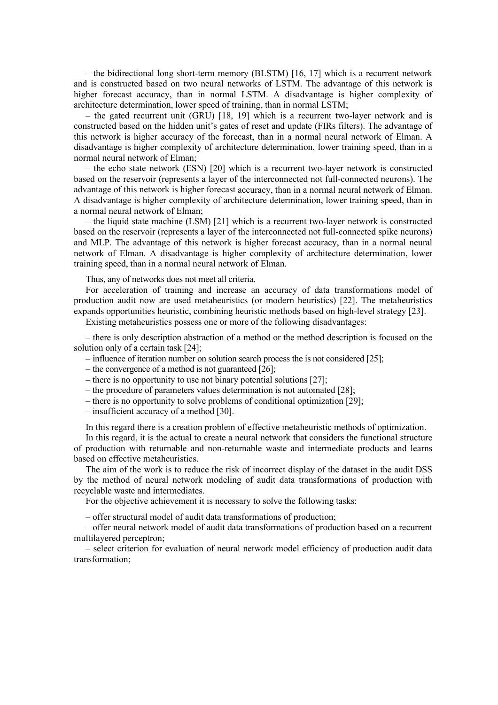– the bidirectional long short-term memory (BLSTM) [16, 17] which is a recurrent network and is constructed based on two neural networks of LSTM. The advantage of this network is higher forecast accuracy, than in normal LSTM. A disadvantage is higher complexity of architecture determination, lower speed of training, than in normal LSTM;

– the gated recurrent unit (GRU) [18, 19] which is a recurrent two-layer network and is constructed based on the hidden unit's gates of reset and update (FIRs filters). The advantage of this network is higher accuracy of the forecast, than in a normal neural network of Elman. A disadvantage is higher complexity of architecture determination, lower training speed, than in a normal neural network of Elman;

– the echo state network (ESN) [20] which is a recurrent two-layer network is constructed based on the reservoir (represents a layer of the interconnected not full-connected neurons). The advantage of this network is higher forecast accuracy, than in a normal neural network of Elman. A disadvantage is higher complexity of architecture determination, lower training speed, than in a normal neural network of Elman;

– the liquid state machine (LSM) [21] which is a recurrent two-layer network is constructed based on the reservoir (represents a layer of the interconnected not full-connected spike neurons) and MLP. The advantage of this network is higher forecast accuracy, than in a normal neural network of Elman. A disadvantage is higher complexity of architecture determination, lower training speed, than in a normal neural network of Elman.

Thus, any of networks does not meet all criteria.

For acceleration of training and increase an accuracy of data transformations model of production audit now are used metaheuristics (or modern heuristics) [22]. The metaheuristics expands opportunities heuristic, combining heuristic methods based on high-level strategy [23].

Existing metaheuristics possess one or more of the following disadvantages:

– there is only description abstraction of a method or the method description is focused on the solution only of a certain task [24];

- influence of iteration number on solution search process the is not considered [25];
- the convergence of a method is not guaranteed [26];
- there is no opportunity to use not binary potential solutions [27];
- the procedure of parameters values determination is not automated [28];
- there is no opportunity to solve problems of conditional optimization [29];
- insufficient accuracy of a method [30].

In this regard there is a creation problem of effective metaheuristic methods of optimization.

In this regard, it is the actual to create a neural network that considers the functional structure of production with returnable and non-returnable waste and intermediate products and learns based on effective metaheuristics.

The aim of the work is to reduce the risk of incorrect display of the dataset in the audit DSS by the method of neural network modeling of audit data transformations of production with recyclable waste and intermediates.

For the objective achievement it is necessary to solve the following tasks:

– offer structural model of audit data transformations of production;

– offer neural network model of audit data transformations of production based on a recurrent multilayered perceptron;

– select criterion for evaluation of neural network model efficiency of production audit data transformation;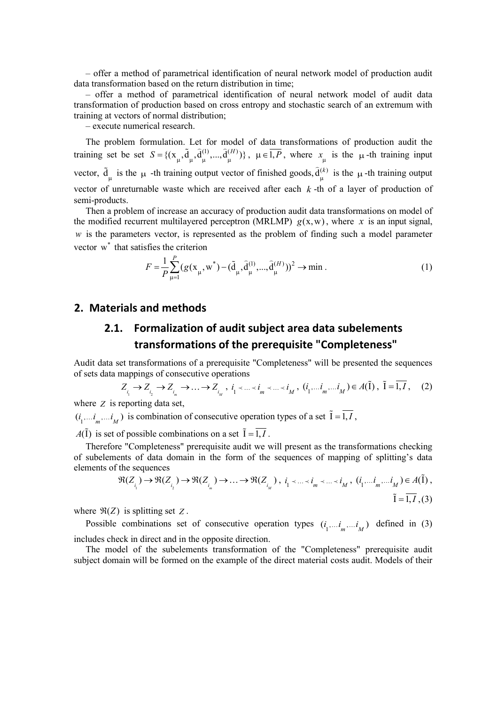– offer a method of parametrical identification of neural network model of production audit data transformation based on the return distribution in time;

– offer a method of parametrical identification of neural network model of audit data transformation of production based on cross entropy and stochastic search of an extremum with training at vectors of normal distribution;

– execute numerical research.

The problem formulation. Let for model of data transformations of production audit the training set be set  $S = \{(\mathbf{x}_{\mu}, \tilde{\mathbf{d}}_{\mu}, \hat{\mathbf{d}}_{\mu}^{(1)}, ..., \hat{\mathbf{d}}_{\mu}^{(H)})\}$ ,  $\mu \in \overline{1, P}$ , where  $x_{\mu}$  is the  $\mu$ -th training input vector,  $\tilde{d}_{\mu}$  is the  $\mu$  -th training output vector of finished goods,  $\tilde{d}_{\mu}^{(k)}$  is the  $\mu$ -th training output vector of unreturnable waste which are received after each *k* -th of a layer of production of semi-products.

Then a problem of increase an accuracy of production audit data transformations on model of the modified recurrent multilayered perceptron (MRLMP)  $g(x, w)$ , where x is an input signal, *w* is the parameters vector, is represented as the problem of finding such a model parameter vector  $w^*$  that satisfies the criterion

$$
F = \frac{1}{P} \sum_{\mu=1}^{P} (g(x_{\mu}, w^*) - (\tilde{d}_{\mu}, \tilde{d}_{\mu}^{(1)}, ..., \tilde{d}_{\mu}^{(H)}))^2 \to \min.
$$
 (1)

### **2. Materials and methods**

## **2.1. Formalization of audit subject area data subelements transformations of the prerequisite "Completeness"**

Audit data set transformations of a prerequisite "Completeness" will be presented the sequences of sets data mappings of consecutive operations

$$
Z_{i_1} \to Z_{i_2} \to Z_{i_m} \to \dots \to Z_{i_M}, \quad i_1 < \dots < i_m < \dots < i_M, \quad (i_1, \dots, i_m, \dots, i_M) \in A(\tilde{I}), \quad \tilde{I} = \overline{1, I}, \quad (2)
$$

where *Z* is reporting data set,

 $(i_1,...i_m,...i_M)$  is combination of consecutive operation types of a set  $\tilde{I} = \overline{1, I}$ ,

 $A(\tilde{I})$  is set of possible combinations on a set  $\tilde{I} = \overline{I, I}$ .

Therefore "Completeness" prerequisite audit we will present as the transformations checking of subelements of data domain in the form of the sequences of mapping of splitting's data elements of the sequences

$$
\Re(Z_{i_1}) \to \Re(Z_{i_2}) \to \Re(Z_{i_m}) \to \dots \to \Re(Z_{i_M}), \quad i_1 < \dots < i_m < \dots < i_M, \quad (i_1 \dots i_m, \dots i_M) \in A(\tilde{I}),
$$
\n
$$
\tilde{I} = \overline{1, I}, (3)
$$

where  $\Re(Z)$  is splitting set Z.

Possible combinations set of consecutive operation types  $(i_1, \ldots, i_m, \ldots, i_M)$  defined in (3) includes check in direct and in the opposite direction.

The model of the subelements transformation of the "Completeness" prerequisite audit subject domain will be formed on the example of the direct material costs audit. Models of their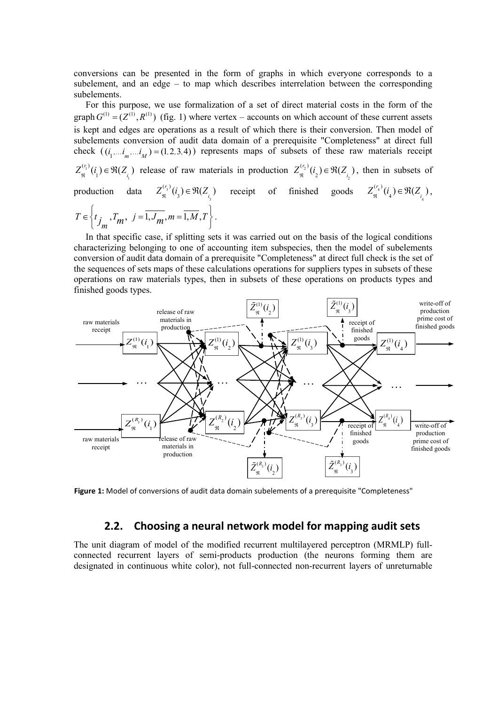conversions can be presented in the form of graphs in which everyone corresponds to a subelement, and an edge – to map which describes interrelation between the corresponding subelements.

For this purpose, we use formalization of a set of direct material costs in the form of the graph  $G^{(1)} = (Z^{(1)}, R^{(1)})$  (fig. 1) where vertex – accounts on which account of these current assets is kept and edges are operations as a result of which there is their conversion. Then model of subelements conversion of audit data domain of a prerequisite "Completeness" at direct full check  $((i_1,...i_1,...i_M) = (1, 2, 3, 4))$  represents maps of subsets of these raw materials receipt 1 1  $Z_{\mathfrak{R}}^{(r_1)}(i_1) \in \mathfrak{R}(Z_{i_1})$  release of raw materials in production  $Z_{\mathfrak{R}}^{(r_2)}(i_2) \in \mathfrak{R}(Z_{i_2})$  $Z_{\mathfrak{R}}^{(r_2)}(i_2) \in \mathfrak{R}(Z_{i_2})$ , then in subsets of production data  $Z_{\mathfrak{N}}^{\mathfrak{S}^3}(i_3) \in \mathfrak{R}(Z_{i_3})$  $Z_{\mathfrak{R}}^{(r_3)}(i_3) \in \mathfrak{R}(Z_{i_3})$  receipt of finished goods  $Z_{\mathfrak{R}}^{(r_4)}(i_4) \in \mathfrak{R}(Z_{i_4})$  $Z_{\mathfrak{R}}^{(r_4)}(i_4) \in \mathfrak{R}(Z_{i_4}),$  $T_m$ ,  $j = 1, J_m$ ,  $m = 1, M$ ,  $T \in \left\{ t_{j_m}, T_m, j = \overline{1, J_m}, m = \overline{1, M}, T \right\}.$ 

In that specific case, if splitting sets it was carried out on the basis of the logical conditions characterizing belonging to one of accounting item subspecies, then the model of subelements conversion of audit data domain of a prerequisite "Completeness" at direct full check is the set of the sequences of sets maps of these calculations operations for suppliers types in subsets of these operations on raw materials types, then in subsets of these operations on products types and finished goods types.



**Figure 1:** Model of conversions of audit data domain subelements of a prerequisite "Completeness"

#### **2.2. Choosing a neural network model for mapping audit sets**

The unit diagram of model of the modified recurrent multilayered perceptron (MRMLP) fullconnected recurrent layers of semi-products production (the neurons forming them are designated in continuous white color), not full-connected non-recurrent layers of unreturnable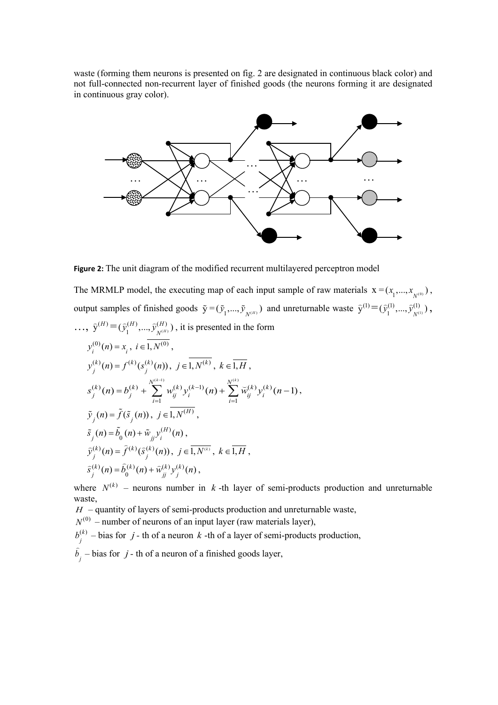waste (forming them neurons is presented on fig. 2 are designated in continuous black color) and not full-connected non-recurrent layer of finished goods (the neurons forming it are designated in continuous gray color).



**Figure 2:** The unit diagram of the modified recurrent multilayered perceptron model

The MRMLP model, the executing map of each input sample of raw materials  $X = (x_1, ..., x_{N^{(0)}})$ , output samples of finished goods  $\tilde{y} = (\tilde{y}_1, ..., \tilde{y}_{N^{(H)}})$  and unreturnable waste  $\hat{y}^{(1)} = (\hat{y}_1^{(1)}, ..., \hat{y}_{N^{(1)}}^{(1)})$ ,  $..., \ \hat{y}^{(H)} = (\hat{y}^{(H)}_1, ..., \hat{y}^{(H)}_{N^{(H)}}),$  it is presented in the form  $y_i^{(0)}(n) = x_i, i \in I, N^{(0)},$  $y_j^{(k)}(n) = f^{(k)}(s_j^{(k)}(n)), \ j \in I, N^{(k)}, \ k \in \overline{1,H},$  $(k)(n) = b^{(k)} + \sum_{k=1}^{N^{(k-1)}} w(k) p^{(k-1)}(k) + \sum_{k=1}^{N^{(k)}} \tilde{w}(k) p^{(k)}(k)$  $i=1$  $(n) = b^{(k)} + \sum_{i} w_{ii}^{(k)} y_i^{(k-1)}(n) + \sum_{i} \widetilde{w}_{ii}^{(k)} y_i^{(k)}(n-1)$  $f_k(k)(n) = h^{(k)} + \sum_{k=1}^{N^{(k-1)}} h^{(k)}(k) p^{(k-1)}(n) + \sum_{k=1}^{N^{(k)}} h^{(k)}(k) p^{(k)}(n)$ *j j ij i ij i i i*  $s_i^{(k)}(n) = b_i^{(k)} + \sum_{i,j} w_{ij}^{(k)} y_i^{(k-1)}(n) + \sum_{i,j} \breve{w}_{ij}^{(k)} y_i^{(k)}(n)$  $\sum_{k=1}^{-1} (k)_{k} (k-1)$  $= b_j^{(k)} + \sum_{i=1}^{N^{(k)}(k)} w_{ij}^{(k)} y_i^{(k-1)}(n) + \sum_{i=1}^{N^{(k)}(k)} \tilde{w}_{ij}^{(k)} y_i^{(k)}(n-1),$  $\tilde{y}_j(n) = \tilde{f}(\tilde{s}_j(n)), \ j \in 1, N^{(H)},$  $\tilde{S}_j(n) = \tilde{b}_0(n) + \tilde{w}_{jj} y_i^{(H)}(n)$ ,  $\widehat{y}_j^{(k)}(n) = \widehat{f}^{(k)}(\widehat{s}_j^{(k)}(n)), \ j \in \overline{1, N^{(k)}}, \ k \in \overline{1,H},$  $\widehat{S}_j^{(k)}(n) = \widehat{b}_0^{(k)}(n) + \widehat{w}_{jj}^{(k)} y_j^{(k)}(n)$ 

where  $N^{(k)}$  – neurons number in *k* -th layer of semi-products production and unreturnable waste,

 $H$  – quantity of layers of semi-products production and unreturnable waste,

 $N^{(0)}$  – number of neurons of an input layer (raw materials layer),

 $(k)$  $b_j^{(k)}$  – bias for *j* - th of a neuron *k* -th of a layer of semi-products production,

 $\hat{b}_j$  – bias for *j* - th of a neuron of a finished goods layer,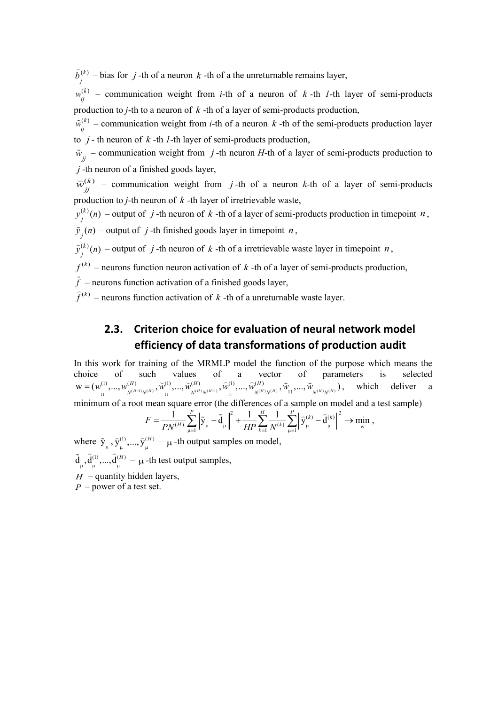$(k)$  $\hat{b}^{(k)}_j$  – bias for *j* -th of a neuron *k* -th of a the unreturnable remains layer,

 $(k)$  $w_{ij}^{(k)}$  – communication weight from *i*-th of a neuron of *k*-th *l*-th layer of semi-products production to *j*-th to a neuron of *k* -th of a layer of semi-products production,

 $(k)$  $\widetilde{w}_{ij}^{(k)}$  – communication weight from *i*-th of a neuron *k* -th of the semi-products production layer to *j* - th neuron of *k -*th *1-*th layer of semi-products production,

 $\tilde{w}_{jj}$  – communication weight from *j*-th neuron *H*-th of a layer of semi-products production to *j* -th neuron of a finished goods layer,

 $(k)$  $\hat{w}_{jj}^{(k)}$  – communication weight from *j*-th of a neuron *k*-th of a layer of semi-products production to *j*-th neuron of *k -*th layer of irretrievable waste,

 $y_j^{(k)}(n)$  – output of *j* -th neuron of *k* -th of a layer of semi-products production in timepoint *n*,

 $\tilde{y}_j(n)$  – output of *j*-th finished goods layer in timepoint *n*,

 $\hat{y}_j^{(k)}(n)$  – output of *j* -th neuron of *k* -th of a irretrievable waste layer in timepoint *n*,

 $f^{(k)}$  – neurons function neuron activation of  $k$  -th of a layer of semi-products production,

 $\tilde{f}$  – neurons function activation of a finished goods layer,

 $\hat{f}^{(k)}$  – neurons function activation of  $k$  -th of a unreturnable waste layer.

## **2.3. Criterion choice for evaluation of neural network model efficiency of data transformations of production audit**

In this work for training of the MRMLP model the function of the purpose which means the choice of such values of a vector of parameters is selected  $N^{(H-1)}N^{(H)}$  (1)  $N^{(H)}N^{(H-1)}$  (1)  $N^{(H)}N^{(H-1)}$  (1)  $N^{(H)}N^{(H)}$  (1)  $N^{(H)}N^{(H)}$  $\mathbf{W} = (\mathbf{W}_{1}^{(1)}, ..., \mathbf{W}_{N^{(H-1)}N^{(H)}}^{(H)}, \vec{\mathbf{W}}_{1}^{(1)}, ..., \vec{\mathbf{W}}_{N^{(H)}N^{(H-1)}}^{(H)}, \mathbf{\widehat{W}}_{1}^{(1)}, ..., \mathbf{\widehat{W}}_{N^{(H)}N^{(H)}}, \mathbf{\widehat{W}}_{11}^{(1)}, ..., \mathbf{\widehat{W}}_{N^{(H)}N^{(H)}}^{(H)})$  $=(w_1^{(1)},...,w_{N^{(H-1)}N^{(H)}}^{(H)},\tilde{w}_{N^{(H)},...,N^{(H)}N^{(H-1)}},\tilde{w}_{N^{(H)},...,N^{(H)}N^{(H)}}^{(1)},\tilde{w}_{N^{(H)},N^{(H)}}^{(H)},\tilde{w}_{N^{(H)},N^{(H)}}^{(H)}),$  which deliver a minimum of a root mean square error (the differences of a sample on model and a test sample)

$$
F=\frac{1}{PN^{(H)}}\sum_{\mu=1}^P\left\|\tilde{\textbf{y}}_{\mu}-\tilde{\textbf{d}}_{\mu}\right\|^2+\frac{1}{HP}\sum_{k=1}^H\frac{1}{N^{(k)}}\sum_{\mu=1}^P\left\|\widehat{\textbf{y}}_{\mu}^{(k)}-\widehat{\textbf{d}}_{\mu}^{(k)}\right\|^2\rightarrow\min_{\textbf{w}}\;,
$$

where  $\tilde{y}_{\mu}$ ,  $\tilde{y}_{\mu}^{(1)}$ , ...,  $\tilde{y}_{\mu}^{(H)} - \mu$  -th output samples on model,  $\tilde{d}_{\mu}$ ,  $\hat{d}_{\mu}^{(1)}$ , ...,  $\hat{d}_{\mu}^{(H)}$  –  $\mu$  -th test output samples,

 $H$  – quantity hidden layers,

*P* – power of a test set.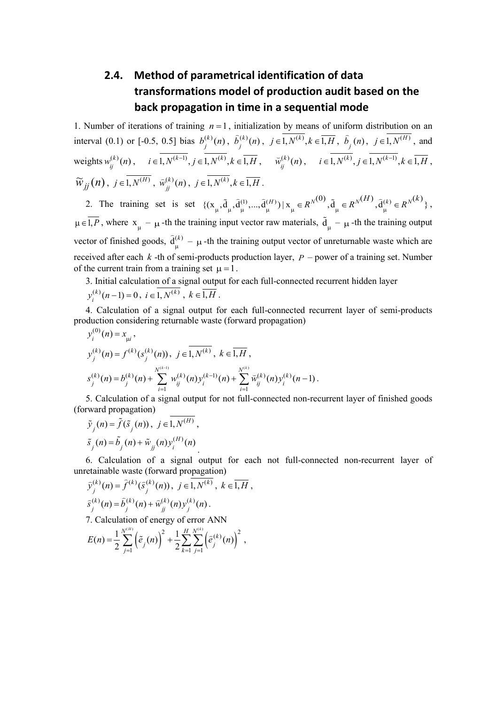# **2.4. Method of parametrical identification of data transformations model of production audit based on the back propagation in time in a sequential mode**

1. Number of iterations of training  $n = 1$ , initialization by means of uniform distribution on an interval (0.1) or [-0.5, 0.5] bias  $b_j^{(k)}(n)$ ,  $\hat{b}_j^{(k)}(n)$ ,  $j \in \overline{1, N^{(k)}}, k \in \overline{1, H}$ ,  $\hat{b}_j(n)$ ,  $j \in \overline{1, N^{(H)}}$ , and  $\text{weights } w_{ij}^{(k)}(n), \quad i \in \overline{1, N^{(k-1)}}, j \in \overline{1, N^{(k)}}, k \in \overline{1, H}, \quad \widetilde{w}_{ij}^{(k)}(n), \quad i \in \overline{1, N^{(k)}}, j \in \overline{1, N^{(k-1)}}, k \in \overline{1, H},$  $\widetilde{W}_{jj}(n)$ ,  $j \in \overline{1, N^{(H)}}$ ,  $\widehat{w}_{jj}^{(k)}(n)$ ,  $j \in \overline{1, N^{(k)}}$ ,  $k \in \overline{1, H}$ .

2. The training set is set  $\{(x_{\mu}, \tilde{d}_{\mu}, \tilde{d}_{\mu}^{(1)}, ..., \tilde{d}_{\mu}^{(H)}) | x_{\mu} \in R^{N^{(0)}}, \tilde{d}_{\mu} \in R^{N^{(H)}}, \tilde{d}_{\mu}^{(k)} \in R^{N^{(k)}}\},$  $\mu \in \overline{I, P}$ , where  $x_{\mu} - \mu$ -th the training input vector raw materials,  $\tilde{d}_{\mu} - \mu$ -th the training output vector of finished goods,  $\hat{d}_{\mu}^{(k)} - \mu$  -th the training output vector of unreturnable waste which are received after each *k* -th of semi-products production layer, *P* – power of a training set. Number of the current train from a training set  $\mu = 1$ .

3. Initial calculation of a signal output for each full-connected recurrent hidden layer

$$
y_i^{(k)}(n-1) = 0, i \in 1, N^{(k)}, k \in 1, H
$$
.

4. Calculation of a signal output for each full-connected recurrent layer of semi-products production considering returnable waste (forward propagation)

$$
y_j^{(0)}(n) = x_{\mu j},
$$
  
\n
$$
y_j^{(k)}(n) = f^{(k)}(s_j^{(k)}(n)), \ j \in \overline{1, N^{(k)}}, \ k \in \overline{1, H},
$$
  
\n
$$
s_j^{(k)}(n) = b_j^{(k)}(n) + \sum_{i=1}^{N^{(k-1)}} w_{ij}^{(k)}(n) y_i^{(k-1)}(n) + \sum_{i=1}^{N^{(k)}} \widetilde{w}_{ij}^{(k)}(n) y_i^{(k)}(n-1).
$$

5. Calculation of a signal output for not full-connected non-recurrent layer of finished goods (forward propagation)

$$
\tilde{y}_j(n) = \tilde{f}(\tilde{s}_j(n)), \ j \in \overline{1, N^{(H)}},
$$
  

$$
\tilde{s}_j(n) = \tilde{b}_j(n) + \tilde{w}_{jj}(n) y_i^{(H)}(n).
$$

6. Calculation of a signal output for each not full-connected non-recurrent layer of unretainable waste (forward propagation)

$$
\hat{y}_{j}^{(k)}(n) = \hat{f}^{(k)}(\hat{s}_{j}^{(k)}(n)), \quad \hat{j} \in \overline{1, N^{(k)}}, \quad k \in \overline{1, H},
$$
\n
$$
\hat{s}_{j}^{(k)}(n) = \hat{b}_{j}^{(k)}(n) + \hat{w}_{jj}^{(k)}(n)y_{j}^{(k)}(n).
$$

7. Calculation of energy of error ANN

$$
E(n) = \frac{1}{2} \sum_{j=1}^{N^{(H)}} \left( \tilde{e}_j(n) \right)^2 + \frac{1}{2} \sum_{k=1}^{H} \sum_{j=1}^{N^{(k)}} \left( \tilde{e}_j^{(k)}(n) \right)^2,
$$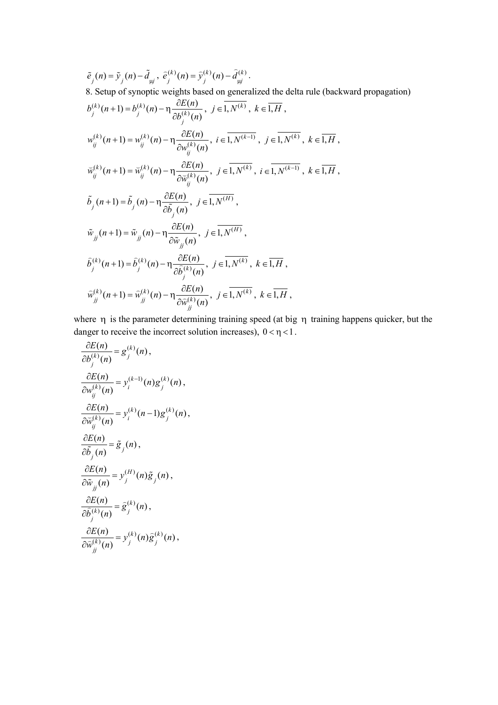$$
\tilde{e}_{j}(n) = \tilde{y}_{j}(n) - \tilde{d}_{\mu j}, \ \tilde{e}_{j}^{(k)}(n) = \tilde{y}_{j}^{(k)}(n) - \tilde{d}_{\mu j}^{(k)}.
$$
\n8. Setup of synoptic weights based on generalized the delta rule (backward propagation)  
\n
$$
b_{j}^{(k)}(n+1) = b_{j}^{(k)}(n) - \eta \frac{\partial E(n)}{\partial b_{j}^{(k)}(n)}, \ j \in \overline{1, N^{(k)}}, \ k \in \overline{1, H},
$$
\n
$$
w_{ij}^{(k)}(n+1) = w_{ij}^{(k)}(n) - \eta \frac{\partial E(n)}{\partial w_{ij}^{(k)}(n)}, \ i \in \overline{1, N^{(k-1)}}, \ j \in \overline{1, N^{(k)}}, \ k \in \overline{1, H},
$$
\n
$$
\tilde{w}_{ij}^{(k)}(n+1) = \tilde{w}_{ij}^{(k)}(n) - \eta \frac{\partial E(n)}{\partial \tilde{w}_{ij}^{(k)}(n)}, \ j \in \overline{1, N^{(k)}}, \ i \in \overline{1, N^{(k-1)}}, \ k \in \overline{1, H},
$$
\n
$$
\tilde{b}_{j}(n+1) = \tilde{b}_{j}(n) - \eta \frac{\partial E(n)}{\partial \tilde{b}_{j}(n)}, \ j \in \overline{1, N^{(H)}},
$$
\n
$$
\tilde{w}_{jj}(n+1) = \tilde{w}_{jj}(n) - \eta \frac{\partial E(n)}{\partial \tilde{w}_{jj}(n)}, \ j \in \overline{1, N^{(H)}},
$$
\n
$$
\tilde{b}_{j}^{(k)}(n+1) = \tilde{b}_{j}^{(k)}(n) - \eta \frac{\partial E(n)}{\partial \tilde{b}_{j}^{(k)}(n)}, \ j \in \overline{1, N^{(k)}}, \ k \in \overline{1, H},
$$
\n
$$
\tilde{w}_{jj}^{(k)}(n+1) = \tilde{w}_{jj}^{(k)}(n) - \eta \frac{\partial E(n)}{\partial \tilde{b}_{j}^{(k)}(n)}, \ j \in \overline{1, N^{(k)}}, \ k \in \overline{1, H},
$$

where η is the parameter determining training speed (at big η training happens quicker, but the danger to receive the incorrect solution increases),  $0 < \eta < 1$ .

$$
\frac{\partial E(n)}{\partial b_j^{(k)}(n)} = g_j^{(k)}(n),
$$
\n
$$
\frac{\partial E(n)}{\partial w_{ij}^{(k)}(n)} = y_i^{(k-1)}(n)g_j^{(k)}(n),
$$
\n
$$
\frac{\partial E(n)}{\partial \widetilde{w}_{ij}^{(k)}(n)} = y_i^{(k)}(n-1)g_j^{(k)}(n),
$$
\n
$$
\frac{\partial E(n)}{\partial \widetilde{b}_j(n)} = \widetilde{g}_j(n),
$$
\n
$$
\frac{\partial E(n)}{\partial \widetilde{w}_{ij}(n)} = y_j^{(H)}(n)\widetilde{g}_j(n),
$$
\n
$$
\frac{\partial E(n)}{\partial \widetilde{b}_j^{(k)}(n)} = \widetilde{g}_j^{(k)}(n),
$$
\n
$$
\frac{\partial E(n)}{\partial \widetilde{w}_{ij}^{(k)}(n)} = y_j^{(k)}(n)\widetilde{g}_j^{(k)}(n),
$$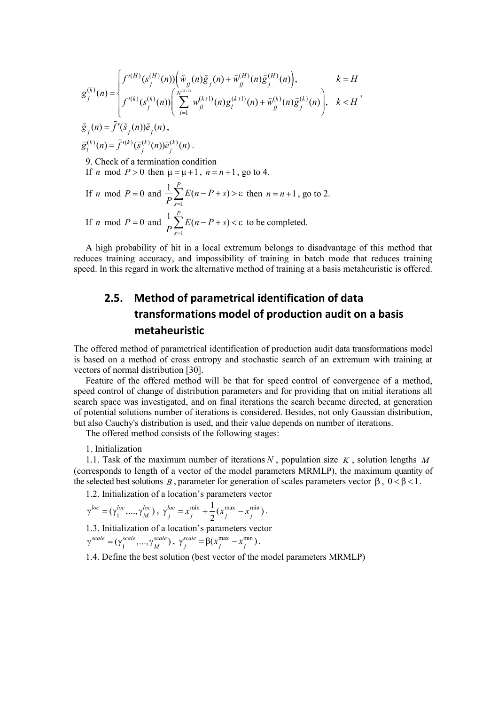$$
g_j^{(k)}(n) = \begin{cases} f'^{(H)}(s_j^{(H)}(n)) \left( \tilde{w}_{jj}(n) \tilde{g}_j(n) + \tilde{w}_{jj}^{(H)}(n) \tilde{g}_j^{(H)}(n) \right), & k = H \\ f'^{(k)}(s_j^{(k)}(n)) \left( \sum_{l=1}^{N^{(k+1)}} w_{jl}^{(k+1)}(n) g_l^{(k+1)}(n) + \tilde{w}_{jj}^{(k)}(n) \tilde{g}_j^{(k)}(n) \right), & k < H' \\ \tilde{g}_j(n) = \tilde{f}'(\tilde{s}_j(n)) \tilde{e}_j(n), & \\ \tilde{g}_i^{(k)}(n) = \hat{f}'^{(k)}(\tilde{s}_j^{(k)}(n)) \hat{e}_j^{(k)}(n) . & \\ 9. \text{ Check of a termination condition} & \text{If } n \text{ mod } P > 0 \text{ then } \mu = \mu + 1, n = n + 1, \text{ go to 4.} \\ & \text{If } n \text{ mod } P = 0 \text{ and } \frac{1}{P} \sum_{s=1}^{P} E(n - P + s) > \varepsilon \text{ then } n = n + 1, \text{ go to 2.} \\ & \text{If } n \text{ mod } P = 0 \text{ and } \frac{1}{P} \sum_{s=1}^{P} E(n - P + s) < \varepsilon \text{ to be completed.} \end{cases}
$$

A high probability of hit in a local extremum belongs to disadvantage of this method that reduces training accuracy, and impossibility of training in batch mode that reduces training speed. In this regard in work the alternative method of training at a basis metaheuristic is offered.

# **2.5. Method of parametrical identification of data transformations model of production audit on a basis metaheuristic**

The offered method of parametrical identification of production audit data transformations model is based on a method of cross entropy and stochastic search of an extremum with training at vectors of normal distribution [30].

Feature of the offered method will be that for speed control of convergence of a method, speed control of change of distribution parameters and for providing that on initial iterations all search space was investigated, and on final iterations the search became directed, at generation of potential solutions number of iterations is considered. Besides, not only Gaussian distribution, but also Cauchy's distribution is used, and their value depends on number of iterations.

The offered method consists of the following stages:

1. Initialization

1.1. Task of the maximum number of iterations *N* , population size *K* , solution lengths *M* (corresponds to length of a vector of the model parameters MRMLP), the maximum quantity of the selected best solutions *B*, parameter for generation of scales parameters vector  $\beta$ ,  $0 < \beta < 1$ .

1.2. Initialization of a location's parameters vector

$$
\gamma^{loc} = (\gamma_1^{loc}, ..., \gamma_M^{loc}), \ \gamma_j^{loc} = x_j^{\min} + \frac{1}{2} (x_j^{\max} - x_j^{\min}).
$$

1.3. Initialization of a location's parameters vector

$$
\gamma^{scale} = (\gamma_1^{scale}, ..., \gamma_M^{scale}), \gamma_j^{scale} = \beta(x_j^{max} - x_j^{min}).
$$

1.4. Define the best solution (best vector of the model parameters MRMLP)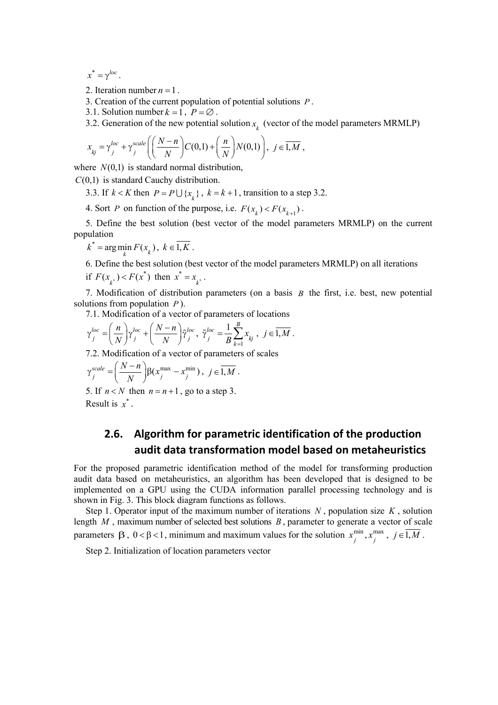$x^* = \gamma^{loc}$ .

2. Iteration number  $n = 1$ .

3. Creation of the current population of potential solutions *P* .

3.1. Solution number  $k = 1$ ,  $P = \emptyset$ .

3.2. Generation of the new potential solution  $x_{k}^{\phantom{\dag}}$  (vector of the model parameters MRMLP)

$$
x_{kj} = \gamma_j^{loc} + \gamma_j^{scale} \left( \left( \frac{N-n}{N} \right) C(0,1) + \left( \frac{n}{N} \right) N(0,1) \right), \ j \in \overline{1,M} \ ,
$$

where  $N(0,1)$  is standard normal distribution,

*C*(0,1) is standard Cauchy distribution.

3.3. If  $k < K$  then  $P = P \cup \{x_k\}$ ,  $k = k + 1$ , transition to a step 3.2.

4. Sort *P* on function of the purpose, i.e.  $F(x_i) < F(x_{i+1})$ .

5. Define the best solution (best vector of the model parameters MRMLP) on the current population

$$
k^* = \arg\min_k F(x_k), \ k \in 1, K.
$$

6. Define the best solution (best vector of the model parameters MRMLP) on all iterations

if  $F(x_{k^*}) < F(x^*)$  then  $x^* = x_{k^*}$  $x^* = x_{k^*}$ .

7. Modification of distribution parameters (on a basis *B* the first, i.e. best, new potential solutions from population *P* ).

7.1. Modification of a vector of parameters of locations

$$
\gamma_j^{loc} = \left(\frac{n}{N}\right)\gamma_j^{loc} + \left(\frac{N-n}{N}\right)\widetilde{\gamma}_j^{loc}, \ \widetilde{\gamma}_j^{loc} = \frac{1}{B}\sum_{k=1}^B x_{kj}, \ j \in \overline{1,M} .
$$

7.2. Modification of a vector of parameters of scales

$$
\gamma_j^{scale} = \left(\frac{N-n}{N}\right) \beta(x_j^{\max} - x_j^{\min}), \ j \in \overline{1,M} .
$$

5. If  $n < N$  then  $n = n + 1$ , go to a step 3. Result is  $x^*$ .

## **2.6. Algorithm for parametric identification of the production audit data transformation model based on metaheuristics**

For the proposed parametric identification method of the model for transforming production audit data based on metaheuristics, an algorithm has been developed that is designed to be implemented on a GPU using the CUDA information parallel processing technology and is shown in Fig. 3. This block diagram functions as follows.

Step 1. Operator input of the maximum number of iterations *N* , population size *K* , solution length *M* , maximum number of selected best solutions *B* , parameter to generate a vector of scale parameters  $\beta$ ,  $0 < \beta < 1$ , minimum and maximum values for the solution  $x_j^{\min}$ ,  $x_j^{\max}$ ,  $j \in \overline{1,M}$ .

Step 2. Initialization of location parameters vector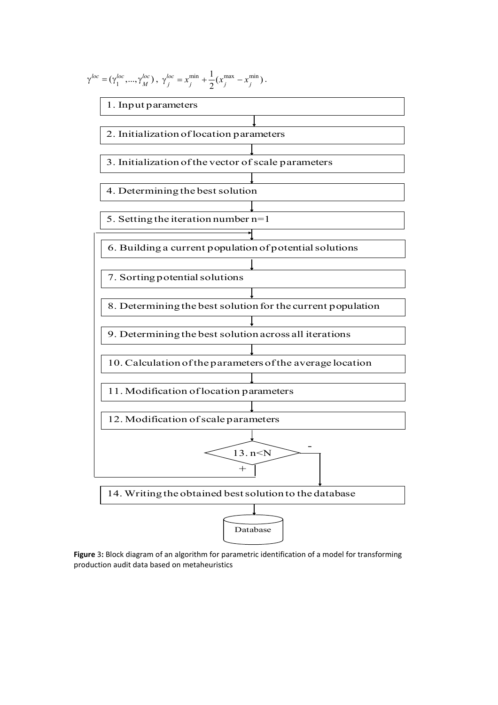

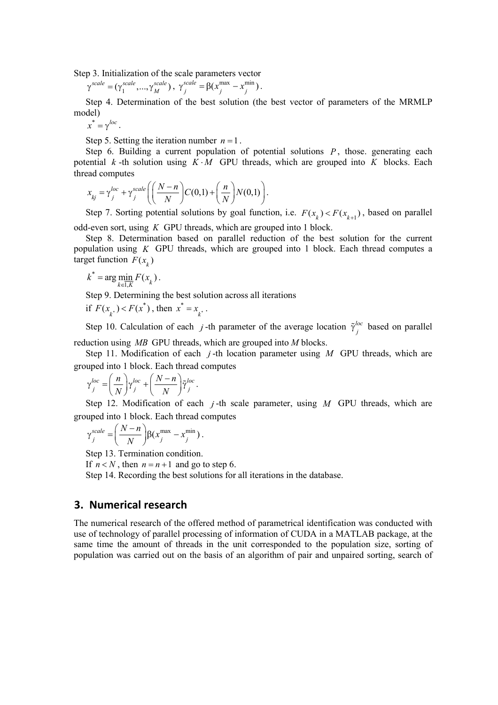Step 3. Initialization of the scale parameters vector

$$
\gamma^{scale} = (\gamma_1^{scale}, ..., \gamma_M^{scale}), \ \gamma_j^{scale} = \beta(x_j^{max} - x_j^{min}).
$$

Step 4. Determination of the best solution (the best vector of parameters of the MRMLP model)

 $x^* = \gamma^{loc}$ .

Step 5. Setting the iteration number  $n = 1$ .

Step 6. Building a current population of potential solutions  $P$ , those. generating each potential  $k$ -th solution using  $K \cdot M$  GPU threads, which are grouped into K blocks. Each thread computes

$$
x_{kj} = \gamma_j^{loc} + \gamma_j^{scale} \left( \left( \frac{N-n}{N} \right) C(0,1) + \left( \frac{n}{N} \right) N(0,1) \right).
$$

Step 7. Sorting potential solutions by goal function, i.e.  $F(x_k) < F(x_{k+1})$ , based on parallel odd-even sort, using *K* GPU threads, which are grouped into 1 block.

Step 8. Determination based on parallel reduction of the best solution for the current population using *K* GPU threads, which are grouped into 1 block. Each thread computes a target function  $F(x)$ 

$$
k^* = \arg\min_{k \in \overline{1,K}} F(x_k).
$$

Step 9. Determining the best solution across all iterations

if 
$$
F(x_{k^*}) < F(x^*)
$$
, then  $x^* = x_{k^*}$ .

Step 10. Calculation of each *j*-th parameter of the average location  $\tilde{\gamma}^{loc}_j$  based on parallel reduction using *MB* GPU threads, which are grouped into *M* blocks.

Step 11. Modification of each *j* -th location parameter using *M* GPU threads, which are grouped into 1 block. Each thread computes

$$
\gamma_j^{loc} = \left(\frac{n}{N}\right) \gamma_j^{loc} + \left(\frac{N-n}{N}\right) \tilde{\gamma}_j^{loc}.
$$

Step 12. Modification of each *j* -th scale parameter, using *M* GPU threads, which are grouped into 1 block. Each thread computes

$$
\gamma_j^{scale} = \left(\frac{N-n}{N}\right) \beta(x_j^{\max} - x_j^{\min}).
$$

Step 13. Termination condition.

If  $n < N$ , then  $n = n + 1$  and go to step 6.

Step 14. Recording the best solutions for all iterations in the database.

#### **3. Numerical research**

The numerical research of the offered method of parametrical identification was conducted with use of technology of parallel processing of information of CUDA in a MATLAB package, at the same time the amount of threads in the unit corresponded to the population size, sorting of population was carried out on the basis of an algorithm of pair and unpaired sorting, search of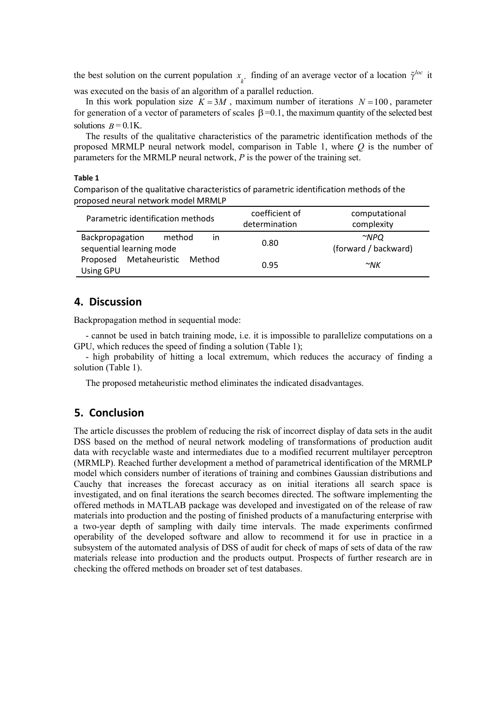the best solution on the current population  $x_{k^*}$  finding of an average vector of a location  $\tilde{\gamma}^{loc}$  it was executed on the basis of an algorithm of a parallel reduction.

In this work population size  $K = 3M$ , maximum number of iterations  $N = 100$ , parameter for generation of a vector of parameters of scales β =0.1, the maximum quantity of the selected best solutions  $B = 0.1$ K.

The results of the qualitative characteristics of the parametric identification methods of the proposed MRMLP neural network model, comparison in Table 1, where *Q* is the number of parameters for the MRMLP neural network, *P* is the power of the training set.

#### **Table 1**

Comparison of the qualitative characteristics of parametric identification methods of the proposed neural network model MRMLP

| Parametric identification methods                                     | coefficient of<br>determination | computational<br>complexity        |
|-----------------------------------------------------------------------|---------------------------------|------------------------------------|
| method<br>Backpropagation<br>$\mathsf{I}$<br>sequential learning mode | 0.80                            | $\sim$ NPO<br>(forward / backward) |
| Metaheuristic<br>Proposed<br>Method<br>Using GPU                      | 0.95                            | $\sim$ NK                          |

### **4. Discussion**

Backpropagation method in sequential mode:

- cannot be used in batch training mode, i.e. it is impossible to parallelize computations on a GPU, which reduces the speed of finding a solution (Table 1);

- high probability of hitting a local extremum, which reduces the accuracy of finding a solution (Table 1).

The proposed metaheuristic method eliminates the indicated disadvantages.

### **5. Conclusion**

The article discusses the problem of reducing the risk of incorrect display of data sets in the audit DSS based on the method of neural network modeling of transformations of production audit data with recyclable waste and intermediates due to a modified recurrent multilayer perceptron (MRMLP). Reached further development a method of parametrical identification of the MRMLP model which considers number of iterations of training and combines Gaussian distributions and Cauchy that increases the forecast accuracy as on initial iterations all search space is investigated, and on final iterations the search becomes directed. The software implementing the offered methods in MATLAB package was developed and investigated on of the release of raw materials into production and the posting of finished products of a manufacturing enterprise with a two-year depth of sampling with daily time intervals. The made experiments confirmed operability of the developed software and allow to recommend it for use in practice in a subsystem of the automated analysis of DSS of audit for check of maps of sets of data of the raw materials release into production and the products output. Prospects of further research are in checking the offered methods on broader set of test databases.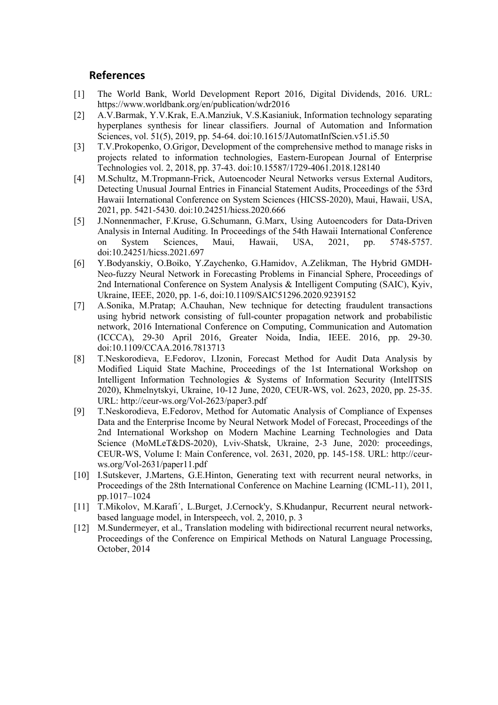### **References**

- [1] The World Bank, World Development Report 2016, Digital Dividends, 2016. URL: https://www.worldbank.org/en/publication/wdr2016
- [2] A.V.Barmak, Y.V.Krak, E.A.Manziuk, V.S.Kasianiuk, Information technology separating hyperplanes synthesis for linear classifiers. Journal of Automation and Information Sciences, vol. 51(5), 2019, pp. 54-64. doi:10.1615/JAutomatInfScien.v51.i5.50
- [3] T.V.Prokopenko, O.Grigor, Development of the comprehensive method to manage risks in projects related to information technologies, Eastern-European Journal of Enterprise Technologies vol. 2, 2018, pp. 37-43. doi:10.15587/1729-4061.2018.128140
- [4] M.Schultz, M.Tropmann-Frick, Autoencoder Neural Networks versus External Auditors, Detecting Unusual Journal Entries in Financial Statement Audits, Proceedings of the 53rd Hawaii International Conference on System Sciences (HICSS-2020), Maui, Hawaii, USA, 2021, pp. 5421-5430. doi:10.24251/hicss.2020.666
- [5] J.Nonnenmacher, F.Kruse, G.Schumann, G.Marx, Using Autoencoders for Data-Driven Analysis in Internal Auditing. In Proceedings of the 54th Hawaii International Conference on System Sciences, Maui, Hawaii, USA, 2021, pp. 5748-5757. doi:10.24251/hicss.2021.697
- [6] Y.Bodyanskiy, O.Boiko, Y.Zaychenko, G.Hamidov, A.Zelikman, The Hybrid GMDH-Neo-fuzzy Neural Network in Forecasting Problems in Financial Sphere, Proceedings of 2nd International Conference on System Analysis & Intelligent Computing (SAIC), Kyiv, Ukraine, IEEE, 2020, pp. 1-6, doi:10.1109/SAIC51296.2020.9239152
- [7] A.Sonika, M.Pratap; A.Chauhan, New technique for detecting fraudulent transactions using hybrid network consisting of full-counter propagation network and probabilistic network, 2016 International Conference on Computing, Communication and Automation (ICCCA), 29-30 April 2016, Greater Noida, India, IEEE. 2016, pp. 29-30. doi:10.1109/CCAA.2016.7813713
- [8] T.Neskorodіeva, E.Fedorov, I.Izonin, Forecast Method for Audit Data Analysis by Modified Liquid State Machine, Proceedings of the 1st International Workshop on Intelligent Information Technologies & Systems of Information Security (IntelITSIS 2020), Khmelnytskyi, Ukraine, 10-12 June, 2020, CEUR-WS, vol. 2623, 2020, pp. 25-35. URL: http://ceur-ws.org/Vol-2623/paper3.pdf
- [9] T.Neskorodіeva, E.Fedorov, Method for Automatic Analysis of Compliance of Expenses Data and the Enterprise Income by Neural Network Model of Forecast, Proceedings of the 2nd International Workshop on Modern Machine Learning Technologies and Data Science (MoMLeT&DS-2020), Lviv-Shatsk, Ukraine, 2-3 June, 2020: proceedings, CEUR-WS, Volume I: Main Conference, vol. 2631, 2020, pp. 145-158. URL: http://ceurws.org/Vol-2631/paper11.pdf
- [10] I.Sutskever, J.Martens, G.E.Hinton, Generating text with recurrent neural networks, in Proceedings of the 28th International Conference on Machine Learning (ICML-11), 2011, pp.1017–1024
- [11] T.Mikolov, M.Karafi´, L.Burget, J.Cernock'y, S.Khudanpur, Recurrent neural networkbased language model, in Interspeech, vol. 2, 2010, p. 3
- [12] M.Sundermeyer, et al., Translation modeling with bidirectional recurrent neural networks, Proceedings of the Conference on Empirical Methods on Natural Language Processing, October, 2014